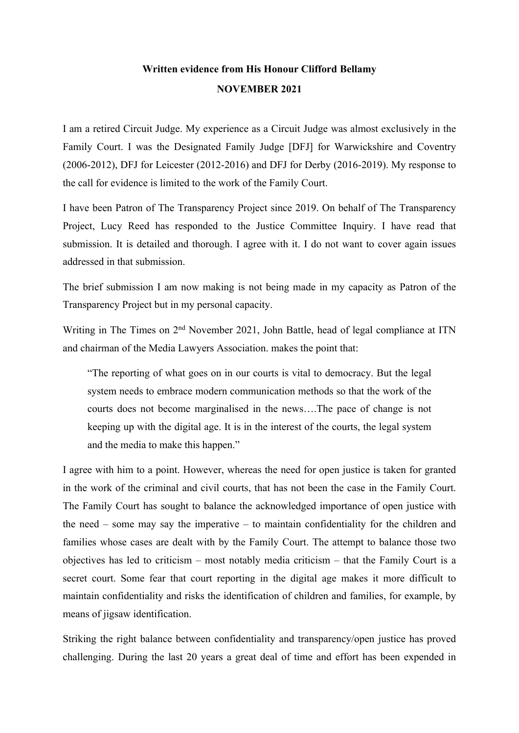## **Written evidence from His Honour Clifford Bellamy NOVEMBER 2021**

I am a retired Circuit Judge. My experience as a Circuit Judge was almost exclusively in the Family Court. I was the Designated Family Judge [DFJ] for Warwickshire and Coventry (2006-2012), DFJ for Leicester (2012-2016) and DFJ for Derby (2016-2019). My response to the call for evidence is limited to the work of the Family Court.

I have been Patron of The Transparency Project since 2019. On behalf of The Transparency Project, Lucy Reed has responded to the Justice Committee Inquiry. I have read that submission. It is detailed and thorough. I agree with it. I do not want to cover again issues addressed in that submission.

The brief submission I am now making is not being made in my capacity as Patron of the Transparency Project but in my personal capacity.

Writing in The Times on 2<sup>nd</sup> November 2021, John Battle, head of legal compliance at ITN and chairman of the Media Lawyers Association. makes the point that:

"The reporting of what goes on in our courts is vital to democracy. But the legal system needs to embrace modern communication methods so that the work of the courts does not become marginalised in the news….The pace of change is not keeping up with the digital age. It is in the interest of the courts, the legal system and the media to make this happen."

I agree with him to a point. However, whereas the need for open justice is taken for granted in the work of the criminal and civil courts, that has not been the case in the Family Court. The Family Court has sought to balance the acknowledged importance of open justice with the need – some may say the imperative – to maintain confidentiality for the children and families whose cases are dealt with by the Family Court. The attempt to balance those two objectives has led to criticism – most notably media criticism – that the Family Court is a secret court. Some fear that court reporting in the digital age makes it more difficult to maintain confidentiality and risks the identification of children and families, for example, by means of jigsaw identification.

Striking the right balance between confidentiality and transparency/open justice has proved challenging. During the last 20 years a great deal of time and effort has been expended in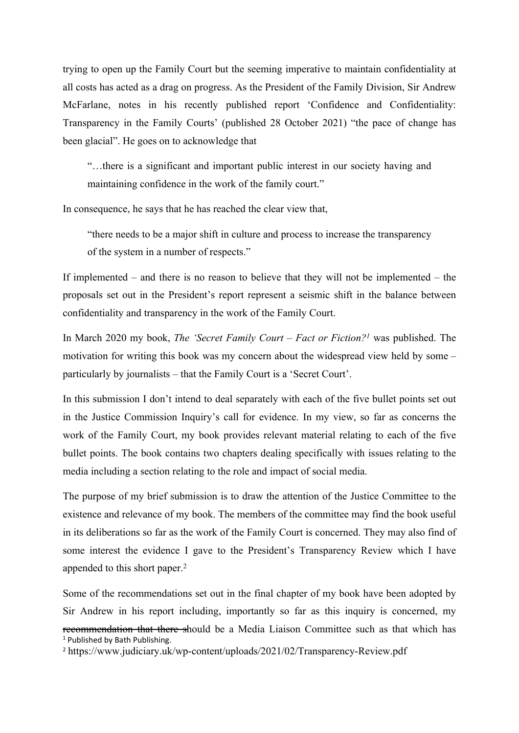trying to open up the Family Court but the seeming imperative to maintain confidentiality at all costs has acted as a drag on progress. As the President of the Family Division, Sir Andrew McFarlane, notes in his recently published report 'Confidence and Confidentiality: Transparency in the Family Courts' (published 28 October 2021) "the pace of change has been glacial". He goes on to acknowledge that

"…there is a significant and important public interest in our society having and maintaining confidence in the work of the family court."

In consequence, he says that he has reached the clear view that,

"there needs to be a major shift in culture and process to increase the transparency of the system in a number of respects."

If implemented – and there is no reason to believe that they will not be implemented – the proposals set out in the President's report represent a seismic shift in the balance between confidentiality and transparency in the work of the Family Court.

In March 2020 my book, *The 'Secret Family Court – Fact or Fiction?<sup>1</sup>* was published. The motivation for writing this book was my concern about the widespread view held by some – particularly by journalists – that the Family Court is a 'Secret Court'.

In this submission I don't intend to deal separately with each of the five bullet points set out in the Justice Commission Inquiry's call for evidence. In my view, so far as concerns the work of the Family Court, my book provides relevant material relating to each of the five bullet points. The book contains two chapters dealing specifically with issues relating to the media including a section relating to the role and impact of social media.

The purpose of my brief submission is to draw the attention of the Justice Committee to the existence and relevance of my book. The members of the committee may find the book useful in its deliberations so far as the work of the Family Court is concerned. They may also find of some interest the evidence I gave to the President's Transparency Review which I have appended to this short paper.<sup>2</sup>

Some of the recommendations set out in the final chapter of my book have been adopted by Sir Andrew in his report including, importantly so far as this inquiry is concerned, my recommendation that there should be a Media Liaison Committee such as that which has <sup>1</sup> Published by Bath Publishing.

<sup>2</sup> https://www.judiciary.uk/wp-content/uploads/2021/02/Transparency-Review.pdf